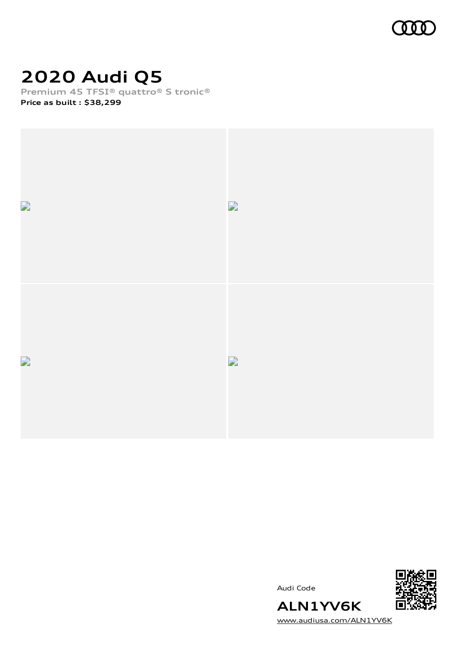

# **2020 Audi Q5**

**Premium 45 TFSI® quattro® S tronic®**

**Price as built [:](#page-8-0) \$38,299**



Audi Code



[www.audiusa.com/ALN1YV6K](https://www.audiusa.com/ALN1YV6K)

**ALN1YV6K**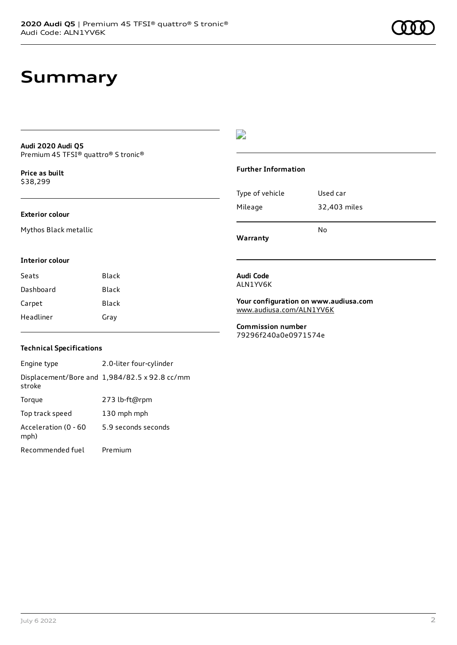# **Summary**

#### **Audi 2020 Audi Q5** Premium 45 TFSI® quattro® S tronic®

**Price as buil[t](#page-8-0)** \$38,299

#### **Exterior colour**

Mythos Black metallic

## D

#### **Further Information**

| Type of vehicle | Used car     |
|-----------------|--------------|
| Mileage         | 32,403 miles |
|                 | No           |

**Warranty**

#### **Interior colour**

| Seats     | Black |
|-----------|-------|
| Dashboard | Black |
| Carpet    | Black |
| Headliner | Gray  |

#### **Audi Code** ALN1YV6K

**Your configuration on www.audiusa.com** [www.audiusa.com/ALN1YV6K](https://www.audiusa.com/ALN1YV6K)

**Commission number** 79296f240a0e0971574e

### **Technical Specifications**

Engine type 2.0-liter four-cylinder Displacement/Bore and 1,984/82.5 x 92.8 cc/mm stroke Torque 273 lb-ft@rpm Top track speed 130 mph mph Acceleration (0 - 60 mph) 5.9 seconds seconds Recommended fuel Premium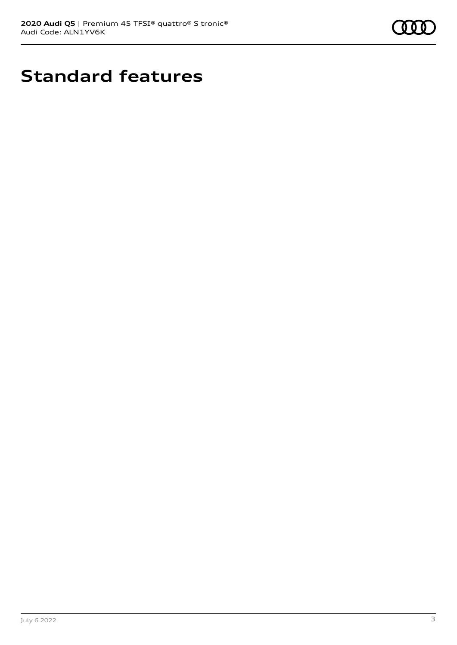

# **Standard features**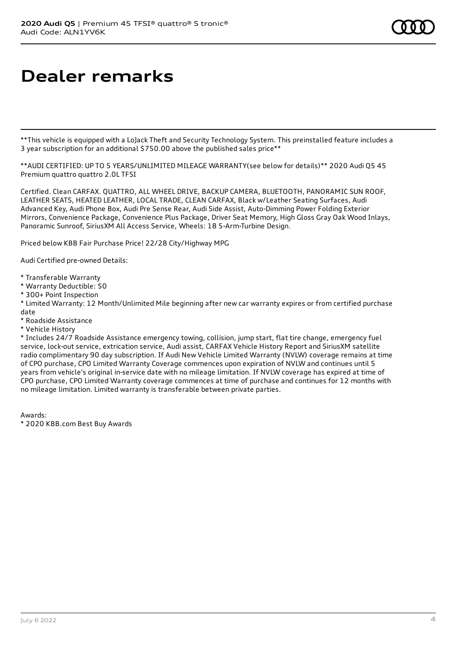# **Dealer remarks**

\*\*This vehicle is equipped with a LoJack Theft and Security Technology System. This preinstalled feature includes a 3 year subscription for an additional \$750.00 above the published sales price\*\*

\*\*AUDI CERTIFIED: UP TO 5 YEARS/UNLIMITED MILEAGE WARRANTY(see below for details)\*\* 2020 Audi Q5 45 Premium quattro quattro 2.0L TFSI

Certified. Clean CARFAX. QUATTRO, ALL WHEEL DRIVE, BACKUP CAMERA, BLUETOOTH, PANORAMIC SUN ROOF, LEATHER SEATS, HEATED LEATHER, LOCAL TRADE, CLEAN CARFAX, Black w/Leather Seating Surfaces, Audi Advanced Key, Audi Phone Box, Audi Pre Sense Rear, Audi Side Assist, Auto-Dimming Power Folding Exterior Mirrors, Convenience Package, Convenience Plus Package, Driver Seat Memory, High Gloss Gray Oak Wood Inlays, Panoramic Sunroof, SiriusXM All Access Service, Wheels: 18 5-Arm-Turbine Design.

Priced below KBB Fair Purchase Price! 22/28 City/Highway MPG

Audi Certified pre-owned Details:

- \* Transferable Warranty
- \* Warranty Deductible: \$0
- \* 300+ Point Inspection
- \* Limited Warranty: 12 Month/Unlimited Mile beginning after new car warranty expires or from certified purchase date
- \* Roadside Assistance
- \* Vehicle History

\* Includes 24/7 Roadside Assistance emergency towing, collision, jump start, flat tire change, emergency fuel service, lock-out service, extrication service, Audi assist, CARFAX Vehicle History Report and SiriusXM satellite radio complimentary 90 day subscription. If Audi New Vehicle Limited Warranty (NVLW) coverage remains at time of CPO purchase, CPO Limited Warranty Coverage commences upon expiration of NVLW and continues until 5 years from vehicle's original in-service date with no mileage limitation. If NVLW coverage has expired at time of CPO purchase, CPO Limited Warranty coverage commences at time of purchase and continues for 12 months with no mileage limitation. Limited warranty is transferable between private parties.

Awards:

\* 2020 KBB.com Best Buy Awards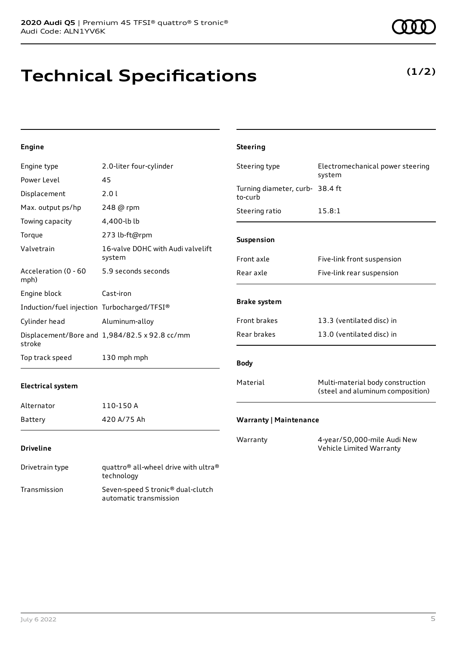# **Technical Specifications**

**(1/2)**

## **Engine**

| Engine type                                 | 2.0-liter four-cylinder                       | Steering type                              | Electromechanical power steering                                     |
|---------------------------------------------|-----------------------------------------------|--------------------------------------------|----------------------------------------------------------------------|
| Power Level                                 | 45                                            |                                            | system                                                               |
| Displacement                                | 2.0 l                                         | Turning diameter, curb- 38.4 ft<br>to-curb |                                                                      |
| Max. output ps/hp                           | 248 @ rpm                                     | Steering ratio                             | 15.8:1                                                               |
| Towing capacity                             | 4,400-lb lb                                   |                                            |                                                                      |
| Torque                                      | 273 lb-ft@rpm                                 | Suspension                                 |                                                                      |
| Valvetrain                                  | 16-valve DOHC with Audi valvelift<br>system   | Front axle                                 | Five-link front suspension                                           |
| Acceleration (0 - 60<br>mph)                | 5.9 seconds seconds                           | Rear axle                                  | Five-link rear suspension                                            |
| Engine block                                | Cast-iron                                     |                                            |                                                                      |
| Induction/fuel injection Turbocharged/TFSI® |                                               | <b>Brake system</b>                        |                                                                      |
| Cylinder head                               | Aluminum-alloy                                | Front brakes                               | 13.3 (ventilated disc) in                                            |
| stroke                                      | Displacement/Bore and 1,984/82.5 x 92.8 cc/mm | Rear brakes                                | 13.0 (ventilated disc) in                                            |
| Top track speed                             | 130 mph mph                                   | <b>Body</b>                                |                                                                      |
| <b>Electrical system</b>                    |                                               | Material                                   | Multi-material body construction<br>(steel and aluminum composition) |
| Alternator                                  | 110-150 A                                     |                                            |                                                                      |
| <b>Battery</b>                              | 420 A/75 Ah                                   | <b>Warranty   Maintenance</b>              |                                                                      |
| <b>Driveline</b>                            |                                               | Warranty                                   | 4-year/50,000-mile Audi New<br>Vehicle Limited Warranty              |

**Steering**

### Drivetrain type quattro® all-wheel drive with ultra® technology Transmission Seven-speed S tronic® dual-clutch automatic transmission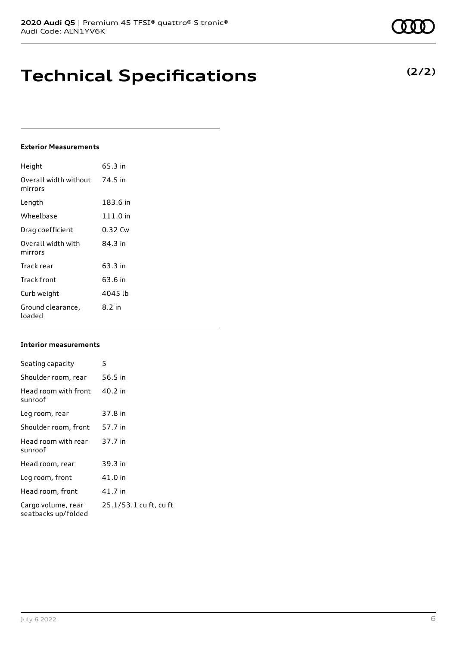# **Technical Specifications**

### **Exterior Measurements**

| Height                           | 65.3 in    |
|----------------------------------|------------|
| Overall width without<br>mirrors | 74.5 in    |
| Length                           | 183.6 in   |
| Wheelbase                        | $111.0$ in |
| Drag coefficient                 | 0.32 Cw    |
| Overall width with<br>mirrors    | 84 3 in    |
| Track rear                       | 63.3 in    |
| Track front                      | 63.6 in    |
| Curb weight                      | 4045 lb    |
| Ground clearance,<br>loaded      | $8.2$ in   |

### **Interior measurements**

| Seating capacity                          | 5                      |
|-------------------------------------------|------------------------|
| Shoulder room, rear                       | 56.5 in                |
| Head room with front<br>sunroof           | 40.2 in                |
| Leg room, rear                            | 37.8 in                |
| Shoulder room, front                      | 57.7 in                |
| Head room with rear<br>sunroof            | 37.7 in                |
| Head room, rear                           | 39.3 in                |
| Leg room, front                           | 41.0 in                |
| Head room, front                          | 41.7 in                |
| Cargo volume, rear<br>seatbacks up/folded | 25.1/53.1 cu ft, cu ft |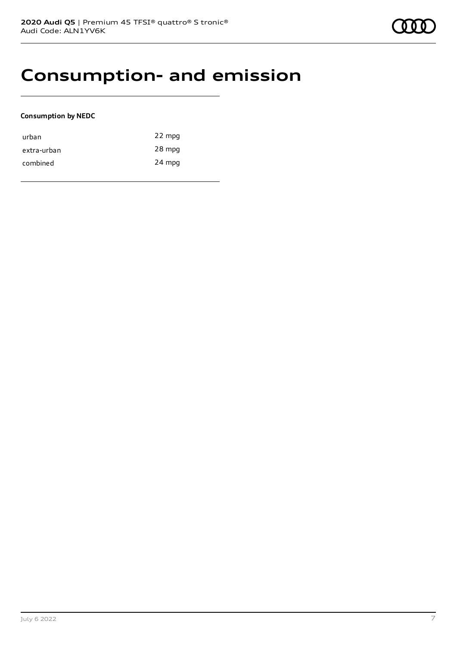## **Consumption- and emission**

### **Consumption by NEDC**

| urban       | 22 mpg |
|-------------|--------|
| extra-urban | 28 mpg |
| combined    | 24 mpg |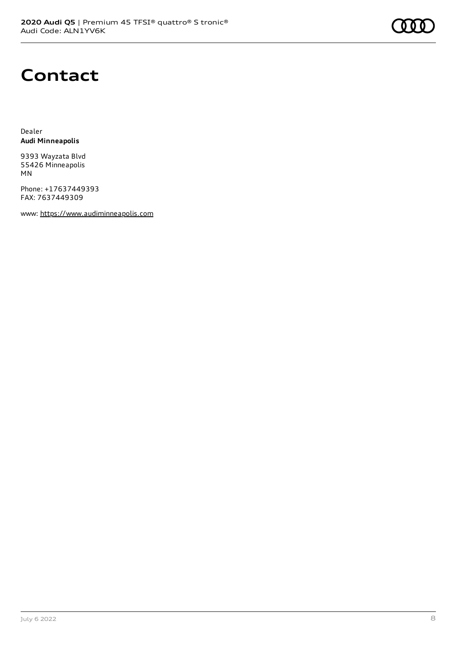# **Contact**

Dealer **Audi Minneapolis**

9393 Wayzata Blvd 55426 Minneapolis MN

Phone: +17637449393 FAX: 7637449309

www: [https://www.audiminneapolis.com](https://www.audiminneapolis.com/)